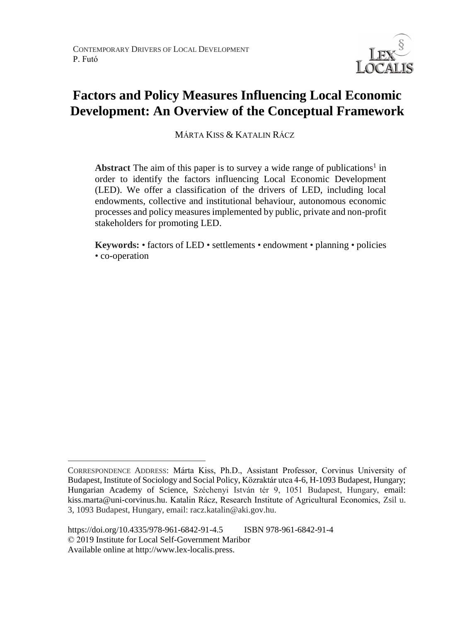

# **Factors and Policy Measures Influencing Local Economic Development: An Overview of the Conceptual Framework**

MÁRTA KISS & KATALIN RÁCZ

Abstract The aim of this paper is to survey a wide range of publications<sup>1</sup> in order to identify the factors influencing Local Economic Development (LED). We offer a classification of the drivers of LED, including local endowments, collective and institutional behaviour, autonomous economic processes and policy measures implemented by public, private and non-profit stakeholders for promoting LED.

**Keywords:** • factors of LED • settlements • endowment • planning • policies • co-operation

 $\overline{a}$ CORRESPONDENCE ADDRESS: Márta Kiss, Ph.D., Assistant Professor, Corvinus University of Budapest, Institute of Sociology and Social Policy, Közraktár utca 4-6, H-1093 Budapest, Hungary; Hungarian Academy of Science, Széchenyi István tér 9, 1051 Budapest, Hungary, email: kiss.marta@uni-corvinus.hu. Katalin Rácz, Research Institute of Agricultural Economics, Zsil u. 3, 1093 Budapest, Hungary, email: racz.katalin@aki.gov.hu.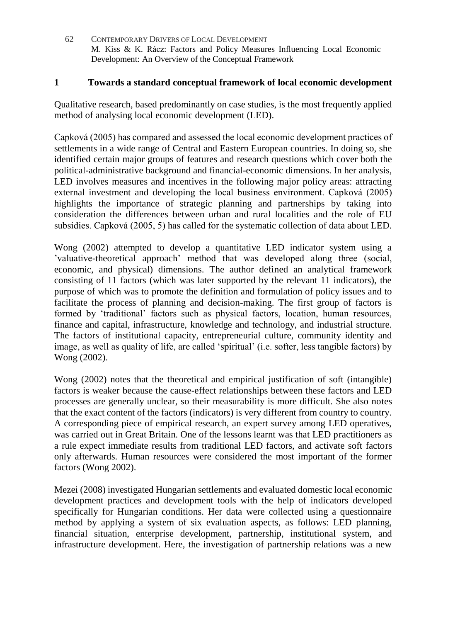#### **1 Towards a standard conceptual framework of local economic development**

Qualitative research, based predominantly on case studies, is the most frequently applied method of analysing local economic development (LED).

Capková (2005) has compared and assessed the local economic development practices of settlements in a wide range of Central and Eastern European countries. In doing so, she identified certain major groups of features and research questions which cover both the political-administrative background and financial-economic dimensions. In her analysis, LED involves measures and incentives in the following major policy areas: attracting external investment and developing the local business environment. Capková (2005) highlights the importance of strategic planning and partnerships by taking into consideration the differences between urban and rural localities and the role of EU subsidies. Capková (2005, 5) has called for the systematic collection of data about LED.

Wong (2002) attempted to develop a quantitative LED indicator system using a 'valuative-theoretical approach' method that was developed along three (social, economic, and physical) dimensions. The author defined an analytical framework consisting of 11 factors (which was later supported by the relevant 11 indicators), the purpose of which was to promote the definition and formulation of policy issues and to facilitate the process of planning and decision-making. The first group of factors is formed by 'traditional' factors such as physical factors, location, human resources, finance and capital, infrastructure, knowledge and technology, and industrial structure. The factors of institutional capacity, entrepreneurial culture, community identity and image, as well as quality of life, are called 'spiritual' (i.e. softer, less tangible factors) by Wong (2002).

Wong (2002) notes that the theoretical and empirical justification of soft (intangible) factors is weaker because the cause-effect relationships between these factors and LED processes are generally unclear, so their measurability is more difficult. She also notes that the exact content of the factors (indicators) is very different from country to country. A corresponding piece of empirical research, an expert survey among LED operatives, was carried out in Great Britain. One of the lessons learnt was that LED practitioners as a rule expect immediate results from traditional LED factors, and activate soft factors only afterwards. Human resources were considered the most important of the former factors (Wong 2002).

Mezei (2008) investigated Hungarian settlements and evaluated domestic local economic development practices and development tools with the help of indicators developed specifically for Hungarian conditions. Her data were collected using a questionnaire method by applying a system of six evaluation aspects, as follows: LED planning, financial situation, enterprise development, partnership, institutional system, and infrastructure development. Here, the investigation of partnership relations was a new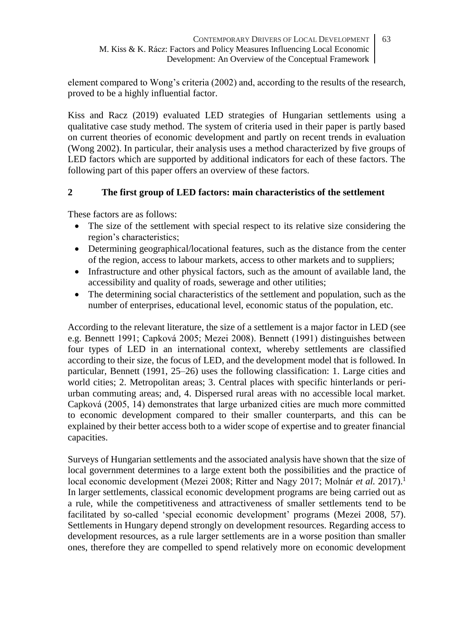element compared to Wong's criteria (2002) and, according to the results of the research, proved to be a highly influential factor.

Kiss and Racz (2019) evaluated LED strategies of Hungarian settlements using a qualitative case study method. The system of criteria used in their paper is partly based on current theories of economic development and partly on recent trends in evaluation (Wong 2002). In particular, their analysis uses a method characterized by five groups of LED factors which are supported by additional indicators for each of these factors. The following part of this paper offers an overview of these factors.

# **2 The first group of LED factors: main characteristics of the settlement**

These factors are as follows:

- The size of the settlement with special respect to its relative size considering the region's characteristics;
- Determining geographical/locational features, such as the distance from the center of the region, access to labour markets, access to other markets and to suppliers;
- Infrastructure and other physical factors, such as the amount of available land, the accessibility and quality of roads, sewerage and other utilities;
- The determining social characteristics of the settlement and population, such as the number of enterprises, educational level, economic status of the population, etc.

According to the relevant literature, the size of a settlement is a major factor in LED (see e.g. Bennett 1991; Capková 2005; Mezei 2008). Bennett (1991) distinguishes between four types of LED in an international context, whereby settlements are classified according to their size, the focus of LED, and the development model that is followed. In particular, Bennett (1991, 25–26) uses the following classification: 1. Large cities and world cities; 2. Metropolitan areas; 3. Central places with specific hinterlands or periurban commuting areas; and, 4. Dispersed rural areas with no accessible local market. Capková (2005, 14) demonstrates that large urbanized cities are much more committed to economic development compared to their smaller counterparts, and this can be explained by their better access both to a wider scope of expertise and to greater financial capacities.

Surveys of Hungarian settlements and the associated analysis have shown that the size of local government determines to a large extent both the possibilities and the practice of local economic development (Mezei 2008; Ritter and Nagy 2017; Molnár *et al.* 2017).<sup>1</sup> In larger settlements, classical economic development programs are being carried out as a rule, while the competitiveness and attractiveness of smaller settlements tend to be facilitated by so-called 'special economic development' programs (Mezei 2008, 57). Settlements in Hungary depend strongly on development resources. Regarding access to development resources, as a rule larger settlements are in a worse position than smaller ones, therefore they are compelled to spend relatively more on economic development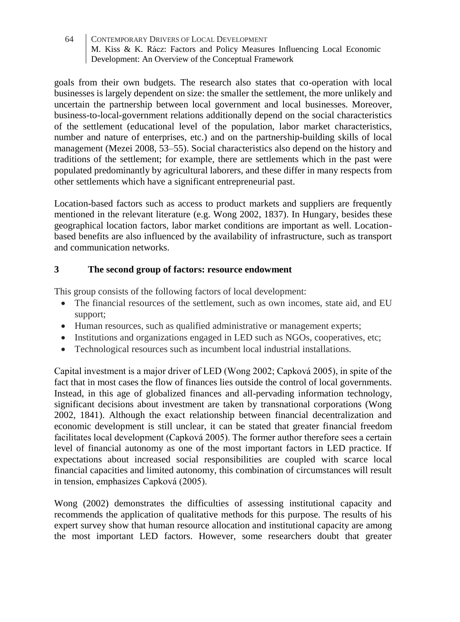goals from their own budgets. The research also states that co-operation with local businesses is largely dependent on size: the smaller the settlement, the more unlikely and uncertain the partnership between local government and local businesses. Moreover, business-to-local-government relations additionally depend on the social characteristics of the settlement (educational level of the population, labor market characteristics, number and nature of enterprises, etc.) and on the partnership-building skills of local management (Mezei 2008, 53–55). Social characteristics also depend on the history and traditions of the settlement; for example, there are settlements which in the past were populated predominantly by agricultural laborers, and these differ in many respects from other settlements which have a significant entrepreneurial past.

Location-based factors such as access to product markets and suppliers are frequently mentioned in the relevant literature (e.g. Wong 2002, 1837). In Hungary, besides these geographical location factors, labor market conditions are important as well. Locationbased benefits are also influenced by the availability of infrastructure, such as transport and communication networks.

# **3 The second group of factors: resource endowment**

This group consists of the following factors of local development:

- The financial resources of the settlement, such as own incomes, state aid, and EU support;
- Human resources, such as qualified administrative or management experts;
- Institutions and organizations engaged in LED such as NGOs, cooperatives, etc;
- Technological resources such as incumbent local industrial installations.

Capital investment is a major driver of LED (Wong 2002; Capková 2005), in spite of the fact that in most cases the flow of finances lies outside the control of local governments. Instead, in this age of globalized finances and all-pervading information technology, significant decisions about investment are taken by transnational corporations (Wong 2002, 1841). Although the exact relationship between financial decentralization and economic development is still unclear, it can be stated that greater financial freedom facilitates local development (Capková 2005). The former author therefore sees a certain level of financial autonomy as one of the most important factors in LED practice. If expectations about increased social responsibilities are coupled with scarce local financial capacities and limited autonomy, this combination of circumstances will result in tension, emphasizes Capková (2005).

Wong (2002) demonstrates the difficulties of assessing institutional capacity and recommends the application of qualitative methods for this purpose. The results of his expert survey show that human resource allocation and institutional capacity are among the most important LED factors. However, some researchers doubt that greater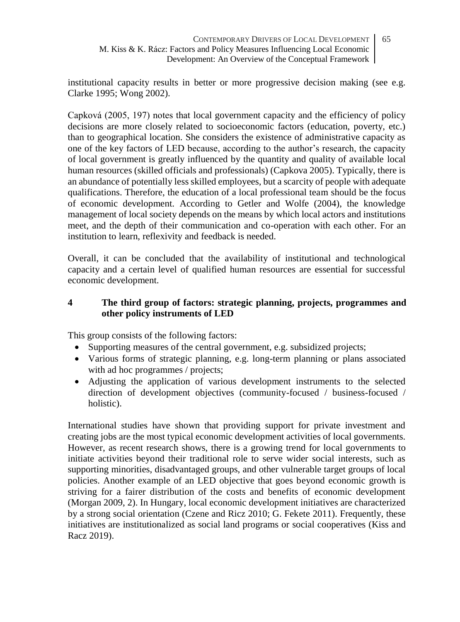institutional capacity results in better or more progressive decision making (see e.g. Clarke 1995; Wong 2002).

Capková (2005, 197) notes that local government capacity and the efficiency of policy decisions are more closely related to socioeconomic factors (education, poverty, etc.) than to geographical location. She considers the existence of administrative capacity as one of the key factors of LED because, according to the author's research, the capacity of local government is greatly influenced by the quantity and quality of available local human resources (skilled officials and professionals) (Capkova 2005). Typically, there is an abundance of potentially less skilled employees, but a scarcity of people with adequate qualifications. Therefore, the education of a local professional team should be the focus of economic development. According to Getler and Wolfe (2004), the knowledge management of local society depends on the means by which local actors and institutions meet, and the depth of their communication and co-operation with each other. For an institution to learn, reflexivity and feedback is needed.

Overall, it can be concluded that the availability of institutional and technological capacity and a certain level of qualified human resources are essential for successful economic development.

# **4 The third group of factors: strategic planning, projects, programmes and other policy instruments of LED**

This group consists of the following factors:

- Supporting measures of the central government, e.g. subsidized projects;
- Various forms of strategic planning, e.g. long-term planning or plans associated with ad hoc programmes / projects;
- Adjusting the application of various development instruments to the selected direction of development objectives (community-focused / business-focused / holistic).

International studies have shown that providing support for private investment and creating jobs are the most typical economic development activities of local governments. However, as recent research shows, there is a growing trend for local governments to initiate activities beyond their traditional role to serve wider social interests, such as supporting minorities, disadvantaged groups, and other vulnerable target groups of local policies. Another example of an LED objective that goes beyond economic growth is striving for a fairer distribution of the costs and benefits of economic development (Morgan 2009, 2). In Hungary, local economic development initiatives are characterized by a strong social orientation (Czene and Ricz 2010; G. Fekete 2011). Frequently, these initiatives are institutionalized as social land programs or social cooperatives (Kiss and Racz 2019).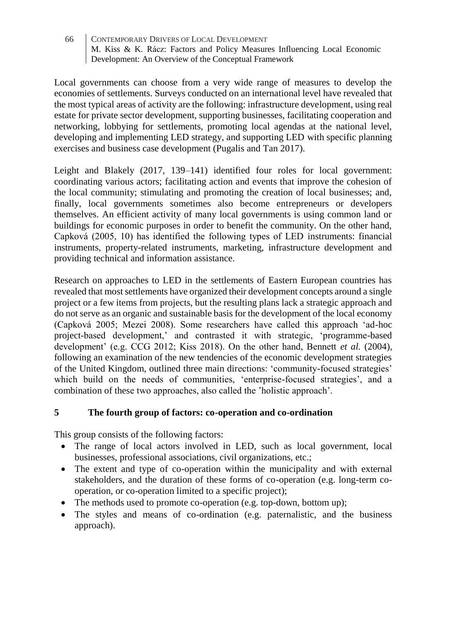Local governments can choose from a very wide range of measures to develop the economies of settlements. Surveys conducted on an international level have revealed that the most typical areas of activity are the following: infrastructure development, using real estate for private sector development, supporting businesses, facilitating cooperation and networking, lobbying for settlements, promoting local agendas at the national level, developing and implementing LED strategy, and supporting LED with specific planning exercises and business case development (Pugalis and Tan 2017).

Leight and Blakely (2017, 139–141) identified four roles for local government: coordinating various actors; facilitating action and events that improve the cohesion of the local community; stimulating and promoting the creation of local businesses; and, finally, local governments sometimes also become entrepreneurs or developers themselves. An efficient activity of many local governments is using common land or buildings for economic purposes in order to benefit the community. On the other hand, Capková (2005, 10) has identified the following types of LED instruments: financial instruments, property-related instruments, marketing, infrastructure development and providing technical and information assistance.

Research on approaches to LED in the settlements of Eastern European countries has revealed that most settlements have organized their development concepts around a single project or a few items from projects, but the resulting plans lack a strategic approach and do not serve as an organic and sustainable basis for the development of the local economy (Capková 2005; Mezei 2008). Some researchers have called this approach 'ad-hoc project-based development,' and contrasted it with strategic, 'programme-based development' (e.g. CCG 2012; Kiss 2018). On the other hand, Bennett *et al.* (2004), following an examination of the new tendencies of the economic development strategies of the United Kingdom, outlined three main directions: 'community-focused strategies' which build on the needs of communities, 'enterprise-focused strategies', and a combination of these two approaches, also called the 'holistic approach'.

# **5 The fourth group of factors: co-operation and co-ordination**

This group consists of the following factors:

- The range of local actors involved in LED, such as local government, local businesses, professional associations, civil organizations, etc.;
- The extent and type of co-operation within the municipality and with external stakeholders, and the duration of these forms of co-operation (e.g. long-term cooperation, or co-operation limited to a specific project);
- The methods used to promote co-operation (e.g. top-down, bottom up);
- The styles and means of co-ordination (e.g. paternalistic, and the business approach).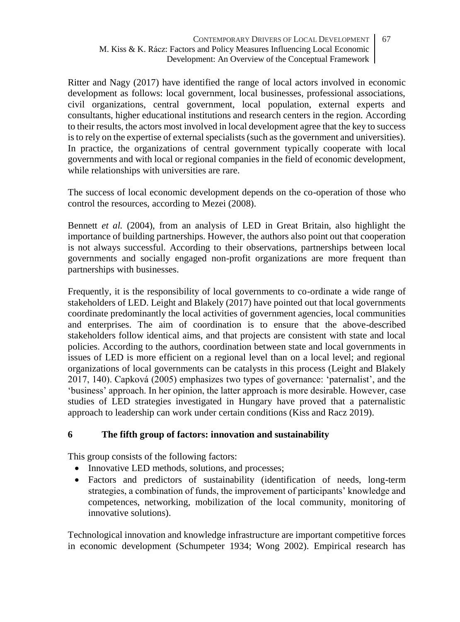Ritter and Nagy (2017) have identified the range of local actors involved in economic development as follows: local government, local businesses, professional associations, civil organizations, central government, local population, external experts and consultants, higher educational institutions and research centers in the region. According to their results, the actors most involved in local development agree that the key to success is to rely on the expertise of external specialists (such as the government and universities). In practice, the organizations of central government typically cooperate with local governments and with local or regional companies in the field of economic development, while relationships with universities are rare.

The success of local economic development depends on the co-operation of those who control the resources, according to Mezei (2008).

Bennett *et al.* (2004), from an analysis of LED in Great Britain, also highlight the importance of building partnerships. However, the authors also point out that cooperation is not always successful. According to their observations, partnerships between local governments and socially engaged non-profit organizations are more frequent than partnerships with businesses.

Frequently, it is the responsibility of local governments to co-ordinate a wide range of stakeholders of LED. Leight and Blakely (2017) have pointed out that local governments coordinate predominantly the local activities of government agencies, local communities and enterprises. The aim of coordination is to ensure that the above-described stakeholders follow identical aims, and that projects are consistent with state and local policies. According to the authors, coordination between state and local governments in issues of LED is more efficient on a regional level than on a local level; and regional organizations of local governments can be catalysts in this process (Leight and Blakely 2017, 140). Capková (2005) emphasizes two types of governance: 'paternalist', and the 'business' approach. In her opinion, the latter approach is more desirable. However, case studies of LED strategies investigated in Hungary have proved that a paternalistic approach to leadership can work under certain conditions (Kiss and Racz 2019).

# **6 The fifth group of factors: innovation and sustainability**

This group consists of the following factors:

- Innovative LED methods, solutions, and processes;
- Factors and predictors of sustainability (identification of needs, long-term strategies, a combination of funds, the improvement of participants' knowledge and competences, networking, mobilization of the local community, monitoring of innovative solutions).

Technological innovation and knowledge infrastructure are important competitive forces in economic development (Schumpeter 1934; Wong 2002). Empirical research has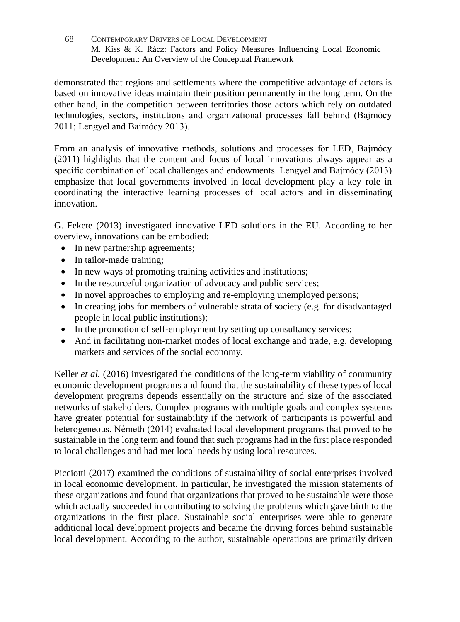demonstrated that regions and settlements where the competitive advantage of actors is based on innovative ideas maintain their position permanently in the long term. On the other hand, in the competition between territories those actors which rely on outdated technologies, sectors, institutions and organizational processes fall behind (Bajmócy 2011; Lengyel and Bajmócy 2013).

From an analysis of innovative methods, solutions and processes for LED, Bajmócy (2011) highlights that the content and focus of local innovations always appear as a specific combination of local challenges and endowments. Lengyel and Bajmócy (2013) emphasize that local governments involved in local development play a key role in coordinating the interactive learning processes of local actors and in disseminating innovation.

G. Fekete (2013) investigated innovative LED solutions in the EU. According to her overview, innovations can be embodied:

- In new partnership agreements;
- In tailor-made training;
- In new ways of promoting training activities and institutions;
- In the resourceful organization of advocacy and public services;
- In novel approaches to employing and re-employing unemployed persons;
- In creating jobs for members of vulnerable strata of society (e.g. for disadvantaged people in local public institutions);
- In the promotion of self-employment by setting up consultancy services;
- And in facilitating non-market modes of local exchange and trade, e.g. developing markets and services of the social economy.

Keller *et al.* (2016) investigated the conditions of the long-term viability of community economic development programs and found that the sustainability of these types of local development programs depends essentially on the structure and size of the associated networks of stakeholders. Complex programs with multiple goals and complex systems have greater potential for sustainability if the network of participants is powerful and heterogeneous. Németh (2014) evaluated local development programs that proved to be sustainable in the long term and found that such programs had in the first place responded to local challenges and had met local needs by using local resources.

Picciotti (2017) examined the conditions of sustainability of social enterprises involved in local economic development. In particular, he investigated the mission statements of these organizations and found that organizations that proved to be sustainable were those which actually succeeded in contributing to solving the problems which gave birth to the organizations in the first place. Sustainable social enterprises were able to generate additional local development projects and became the driving forces behind sustainable local development. According to the author, sustainable operations are primarily driven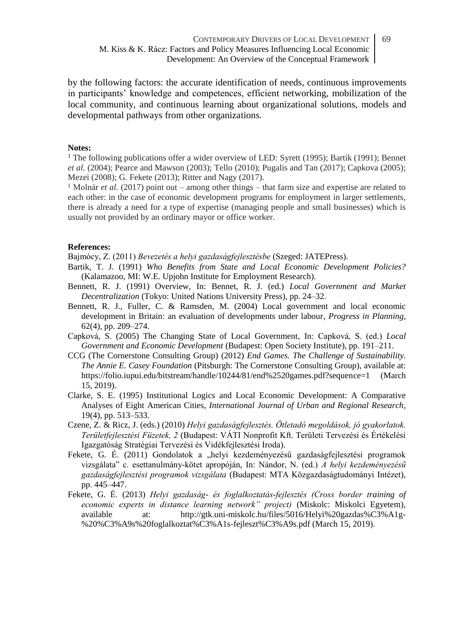by the following factors: the accurate identification of needs, continuous improvements in participants' knowledge and competences, efficient networking, mobilization of the local community, and continuous learning about organizational solutions, models and developmental pathways from other organizations.

#### **Notes:**

<sup>1</sup> The following publications offer a wider overview of LED: Syrett (1995); Bartik (1991); Bennet *et al.* (2004); Pearce and Mawson (2003); Tello (2010); Pugalis and Tan (2017); Capkova (2005); Mezei (2008); G. Fekete (2013); Ritter and Nagy (2017).

<sup>1</sup> Molnár *et al.* (2017) point out – among other things – that farm size and expertise are related to each other: in the case of economic development programs for employment in larger settlements, there is already a need for a type of expertise (managing people and small businesses) which is usually not provided by an ordinary mayor or office worker.

#### **References:**

Bajmócy, Z. (2011) *Bevezetés a helyi gazdaságfejlesztésbe* (Szeged: JATEPress).

- Bartik, T. J. (1991) *Who Benefits from State and Local Economic Development Policies?*  (Kalamazoo, MI: W.E. Upjohn Institute for Employment Research).
- Bennett, R. J. (1991) Overview, In: Bennet, R. J. (ed.) *Local Government and Market Decentralization* (Tokyo: United Nations University Press), pp. 24–32.
- Bennett, R. J., Fuller, C. & Ramsden, M. (2004) Local government and local economic development in Britain: an evaluation of developments under labour, *Progress in Planning*, 62(4), pp. 209–274.
- Capková, S. (2005) The Changing State of Local Government, In: Capková, S. (ed.) *Local Government and Economic Development* (Budapest: Open Society Institute), pp. 191–211.
- CCG (The Cornerstone Consulting Group) (2012) *End Games. The Challenge of Sustainability. The Annie E. Casey Foundation* (Pitsburgh: The Cornerstone Consulting Group), available at: [https://folio.iupui.edu/bitstream/handle/10244/81/end%2520games.pdf?sequence=1](https://folio.iupui.edu/bitstream/handle/10244/81/end%20games.pdf?sequence=1) (March 15, 2019).
- Clarke, S. E. (1995) Institutional Logics and Local Economic Development: A Comparative Analyses of Eight American Cities, *International Journal of Urban and Regional Research*, 19(4), pp. 513–533.
- Czene, Z. & Ricz, J. (eds.) (2010) *Helyi gazdaságfejlesztés. Ötletadó megoldások, jó gyakorlatok. Területfejlesztési Füzetek, 2* (Budapest: VÁTI Nonprofit Kft. Területi Tervezési és Értékelési Igazgatóság Stratégiai Tervezési és Vidékfejlesztési Iroda).
- Fekete, G. É. (2011) Gondolatok a "helyi kezdeményezésű gazdaságfejlesztési programok vizsgálata" c. esettanulmány-kötet apropóján, In: Nándor, N. (ed.) *A helyi kezdeményezésű gazdaságfejlesztési programok vizsgálata* (Budapest: MTA Közgazdaságtudományi Intézet), pp. 445–447.
- Fekete, G. É. (2013) *Helyi gazdaság- és foglalkoztatás-fejlesztés (Cross border training of economic experts in distance learning network" project)* (Miskolc: Miskolci Egyetem), available at: [http://gtk.uni-miskolc.hu/files/5016/Helyi%20gazdas%C3%A1g-](http://gtk.uni-miskolc.hu/files/5016/Helyi%20gazdas%C3%A1g-%20%C3%A9s%20foglalkoztat%C3%A1s-fejleszt%C3%A9s.pdf) [%20%C3%A9s%20foglalkoztat%C3%A1s-fejleszt%C3%A9s.pdf](http://gtk.uni-miskolc.hu/files/5016/Helyi%20gazdas%C3%A1g-%20%C3%A9s%20foglalkoztat%C3%A1s-fejleszt%C3%A9s.pdf) (March 15, 2019).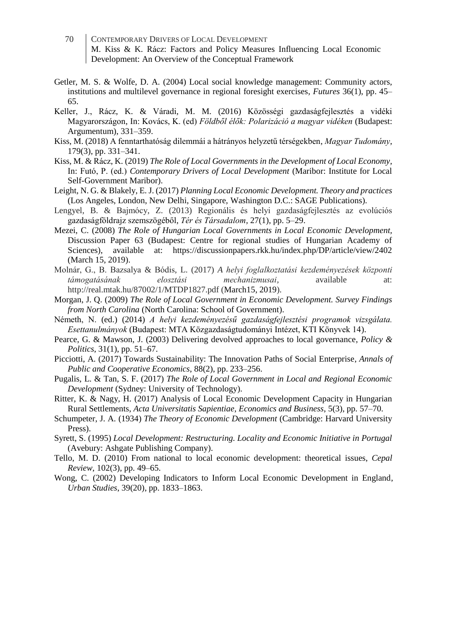- 70 CONTEMPORARY DRIVERS OF LOCAL DEVELOPMENT M. Kiss & K. Rácz: Factors and Policy Measures Influencing Local Economic Development: An Overview of the Conceptual Framework
- Getler, M. S. & Wolfe, D. A. (2004) Local social knowledge management: Community actors, institutions and multilevel governance in regional foresight exercises, *Futures* 36(1), pp. 45– 65.
- Keller, J., Rácz, K. & Váradi, M. M. (2016) Közösségi gazdaságfejlesztés a vidéki Magyarországon, In: Kovács, K. (ed) *Földből élők: Polarizáció a magyar vidéken* (Budapest: Argumentum), 331–359.
- Kiss, M. (2018) A fenntarthatóság dilemmái a hátrányos helyzetű térségekben, *Magyar Tudomány*, 179(3), pp. 331–341.
- Kiss, M. & Rácz, K. (2019) *The Role of Local Governments in the Development of Local Economy*, In: Futó, P. (ed.) *Contemporary Drivers of Local Development* (Maribor: Institute for Local Self-Government Maribor).
- Leight, N. G. & Blakely, E. J. (2017) *Planning Local Economic Development. Theory and practices* (Los Angeles, London, New Delhi, Singapore, Washington D.C.: SAGE Publications).
- Lengyel, B. & Bajmócy, Z. (2013) Regionális és helyi gazdaságfejlesztés az evolúciós gazdaságföldrajz szemszögéből, *Tér és Társadalom,* 27(1), pp. 5–29.
- Mezei, C. (2008) *The Role of Hungarian Local Governments in Local Economic Development,* Discussion Paper 63 (Budapest: Centre for regional studies of Hungarian Academy of Sciences), available at: https://discussionpapers.rkk.hu/index.php/DP/article/view/2402 (March 15, 2019).
- Molnár, G., B. Bazsalya & Bódis, L. (2017) *A helyi foglalkoztatási kezdeményezések központi támogatásának elosztási mechanizmusai,* available at: http://real.mtak.hu/87002/1/MTDP1827.pdf (March15, 2019).
- Morgan, J. Q. (2009) *The Role of Local Government in Economic Development. Survey Findings from North Carolina* (North Carolina: School of Government).
- Németh, N. (ed.) (2014) *A helyi kezdeményezésű gazdaságfejlesztési programok vizsgálata. Esettanulmányok* (Budapest: MTA Közgazdaságtudományi Intézet, KTI Könyvek 14).
- Pearce, G. & Mawson, J. (2003) Delivering devolved approaches to local governance, *Policy & Politics*, 31(1), pp. 51–67.
- Picciotti, A. (2017) Towards Sustainability: The Innovation Paths of Social Enterprise, *Annals of Public and Cooperative Economics*, 88(2), pp. 233–256.
- Pugalis, L. & Tan, S. F. (2017) *The Role of Local Government in Local and Regional Economic Development* (Sydney: University of Technology).
- Ritter, K. & Nagy, H. (2017) Analysis of Local Economic Development Capacity in Hungarian Rural Settlements, *Acta Universitatis Sapientiae*, *Economics and Business*, 5(3), pp. 57–70.
- Schumpeter, J. A. (1934) *The Theory of Economic Development* (Cambridge: Harvard University Press).
- Syrett, S. (1995) *Local Development: Restructuring. Locality and Economic Initiative in Portugal* (Avebury: Ashgate Publishing Company).
- Tello, M. D. (2010) From national to local economic development: theoretical issues, *Cepal Review*, 102(3), pp. 49–65.
- Wong, C. (2002) Developing Indicators to Inform Local Economic Development in England, *Urban Studies*, 39(20), pp. 1833–1863.